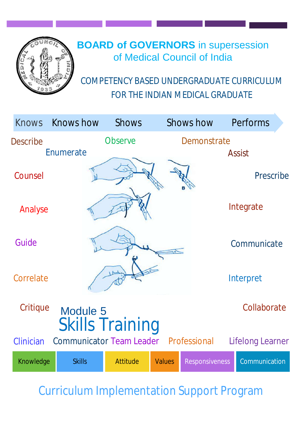

# **BOARD of GOVERNORS** in supersession of Medical Council of India

COMPETENCY BASED UNDERGRADUATE CURRICULUM FOR THE INDIAN MEDICAL GRADUATE

| <b>Knows</b>    | <b>Knows how</b>                             | <b>Shows</b>           |               | <b>Shows how</b>      | Performs         |  |
|-----------------|----------------------------------------------|------------------------|---------------|-----------------------|------------------|--|
| <b>Describe</b> |                                              | <b>Observe</b>         |               | Demonstrate           |                  |  |
|                 | Enumerate                                    |                        |               |                       | <b>Assist</b>    |  |
| Counsel         |                                              |                        |               |                       | Prescribe        |  |
| Analyse         |                                              |                        |               |                       | Integrate        |  |
| Guide           |                                              |                        |               |                       | Communicate      |  |
| Correlate       |                                              |                        |               |                       | Interpret        |  |
| Critique        | Module 5                                     | <b>Skills Training</b> |               |                       | Collaborate      |  |
| Clinician       | <b>Communicator Team Leader Professional</b> |                        |               |                       | Lifelong Learner |  |
| Knowledge       | <b>Skills</b>                                | <b>Attitude</b>        | <b>Values</b> | <b>Responsiveness</b> | Communication    |  |

Curriculum Implementation Support Program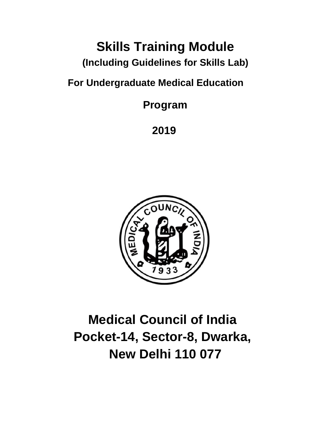# **Skills Training Module**

**(Including Guidelines for Skills Lab)**

**For Undergraduate Medical Education**

**Program**

**2019**



**Medical Council of India Pocket-14, Sector-8, Dwarka, New Delhi 110 077**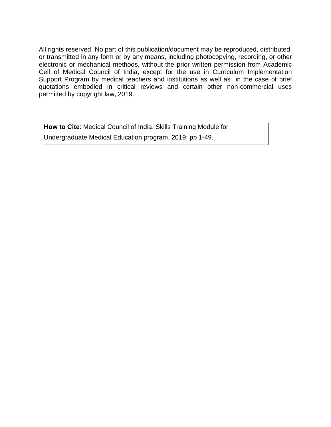All rights reserved. No part of this publication/document may be reproduced, distributed, or transmitted in any form or by any means, including photocopying, recording, or other electronic or mechanical methods, without the prior written permission from Academic Cell of Medical Council of India, except for the use in Curriculum Implementation Support Program by medical teachers and institutions as well as in the case of brief quotations embodied in critical reviews and certain other non-commercial uses permitted by copyright law, 2019.

**How to Cite**: Medical Council of India. Skills Training Module for Undergraduate Medical Education program, 2019: pp 1-49.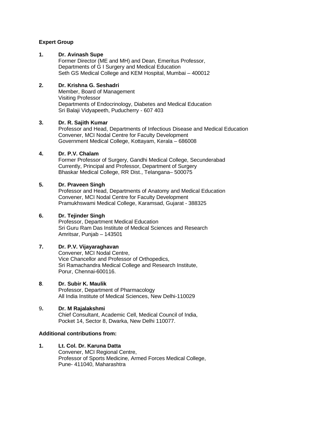#### **Expert Group**

#### **1. Dr. Avinash Supe**

Former Director (ME and MH) and Dean, Emeritus Professor, Departments of G I Surgery and Medical Education Seth GS Medical College and KEM Hospital, Mumbai – 400012

#### **2. Dr. Krishna G. Seshadri**

Member, Board of Management Visiting Professor Departments of Endocrinology, Diabetes and Medical Education Sri Balaji Vidyapeeth, Puducherry - 607 403

#### **3. Dr. R. Sajith Kumar**

Professor and Head, Departments of Infectious Disease and Medical Education Convener, MCI Nodal Centre for Faculty Development Government Medical College, Kottayam, Kerala – 686008

#### **4. Dr. P.V. Chalam**

Former Professor of Surgery, Gandhi Medical College, Secunderabad Currently, Principal and Professor, Department of Surgery Bhaskar Medical College, RR Dist., Telangana– 500075

#### **5. Dr. Praveen Singh**

Professor and Head, Departments of Anatomy and Medical Education Convener, MCI Nodal Centre for Faculty Development Pramukhswami Medical College, Karamsad, Gujarat - 388325

#### **6. Dr. Tejinder Singh**

Professor, Department Medical Education Sri Guru Ram Das Institute of Medical Sciences and Research Amritsar, Punjab – 143501

#### **7. Dr. P.V. Vijayaraghavan**

Convener, MCI Nodal Centre, Vice Chancellor and Professor of Orthopedics, Sri Ramachandra Medical College and Research Institute, Porur, Chennai-600116.

#### **8**. **Dr. Subir K. Maulik**

Professor, Department of Pharmacology All India Institute of Medical Sciences, New Delhi-110029

#### 9**. Dr. M Rajalakshmi**

Chief Consultant, Academic Cell, Medical Council of India, Pocket 14, Sector 8, Dwarka, New Delhi 110077.

#### **Additional contributions from:**

**1. Lt. Col. Dr. Karuna Datta** Convener, MCI Regional Centre, Professor of Sports Medicine, Armed Forces Medical College, Pune- 411040, Maharashtra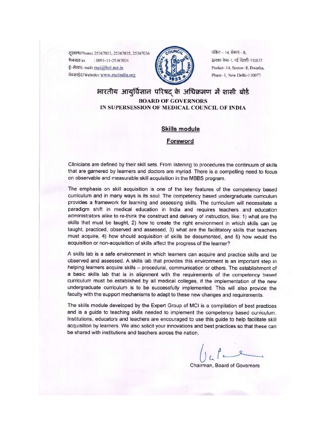दरभाष/Phone: 25367033, 25367035, 25367036 फैक्स/Fax : 0091-11-25367024 ई-मेल/E-mail: mci@bol.net.in वेबसाईट/Website: www.mciindia.org



पॉकेट - 14, सेक्टर - 8, द्वारका फेस-1, नई दिल्ली-110077 Pocket- 14, Sector- 8, Dwarka, Phase-1, New Delhi-110077

#### भारतीय आयुर्विज्ञान परिषद के अधिक्रमण में शासी बोर्ड **BOARD OF GOVERNORS** IN SUPERSESSION OF MEDICAL COUNCIL OF INDIA

#### **Skills module**

#### Foreword

Clinicians are defined by their skill sets. From listening to procedures the continuum of skills that are garnered by learners and doctors are myriad. There is a compelling need to focus on observable and measurable skill acquisition in the MBBS program.

The emphasis on skill acquisition is one of the key features of the competency based curriculum and in many ways is its soul. The competency based undergraduate curriculum provides a framework for learning and assessing skills. The curriculum will necessitate a paradigm shift in medical education in India and requires teachers and education administrators alike to re-think the construct and delivery of instruction, like: 1) what are the skills that must be taught, 2) how to create the right environment in which skills can be taught, practiced, observed and assessed, 3) what are the facilitatory skills that teachers must acquire, 4) how should acquisition of skills be documented, and 5) how would the acquisition or non-acquisition of skills affect the progress of the learner?

A skills lab is a safe environment in which learners can acquire and practice skills and be observed and assessed. A skills lab that provides this environment is an important step in helping learners acquire skills - procedural, communication or others. The establishment of a basic skills lab that is in alignment with the requirements of the competency based curriculum must be established by all medical colleges, if the implementation of the new undergraduate curriculum is to be successfully implemented. This will also provide the faculty with the support mechanisms to adapt to these new changes and requirements.

The skills module developed by the Expert Group of MCI is a compilation of best practices and is a guide to teaching skills needed to implement the competency based curriculum. Institutions, educators and teachers are encouraged to use this guide to help facilitate skill acquisition by learners. We also solicit your innovations and best practices so that these can be shared with institutions and teachers across the nation.

Chairman, Board of Governors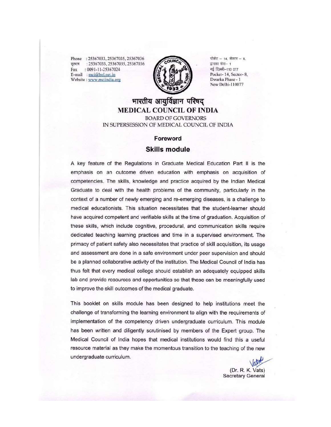Phone: 25367033, 25367035, 25367036 दूरमाष : 25367033, 25367035, 25367036  $: 0091 - 11 - 25367024$ Fax E-mail: mci@bol.net.in Website : www.mciindia.org



पॉकेट - 14, सेक्टर - 8, द्वारका फेस- 1 नई दिल्ली-110 077 Pocket-14, Sector-8, Dwarka Phase - 1 New Delhi-110077

### भारतीय आयुर्विज्ञान परिषद् **MEDICAL COUNCIL OF INDIA**

**BOARD OF GOVERNORS** IN SUPERSESSION OF MEDICAL COUNCIL OF INDIA

#### Foreword

#### **Skills module**

A key feature of the Regulations in Graduate Medical Education Part II is the emphasis on an outcome driven education with emphasis on acquisition of competencies. The skills, knowledge and practice acquired by the Indian Medical Graduate to deal with the health problems of the community, particularly in the context of a number of newly emerging and re-emerging diseases, is a challenge to medical educationists. This situation necessitates that the student-learner should have acquired competent and verifiable skills at the time of graduation. Acquisition of these skills, which include cognitive, procedural, and communication skills require dedicated teaching learning practices and time in a supervised environment. The primacy of patient safety also necessitates that practice of skill acquisition, its usage and assessment are done in a safe environment under peer supervision and should be a planned collaborative activity of the institution. The Medical Council of India has thus felt that every medical college should establish an adequately equipped skills lab and provide resources and opportunities so that these can be meaningfully used to improve the skill outcomes of the medical graduate.

This booklet on skills module has been designed to help institutions meet the challenge of transforming the learning environment to align with the requirements of implementation of the competency driven undergraduate curriculum. This module has been written and diligently scrutinised by members of the Expert group. The Medical Council of India hopes that medical institutions would find this a useful resource material as they make the momentous transition to the teaching of the new undergraduate curriculum.

(Dr. R. K. Vats) **Secretary General**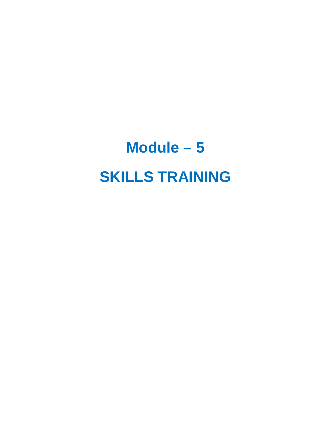# **Module – 5 SKILLS TRAINING**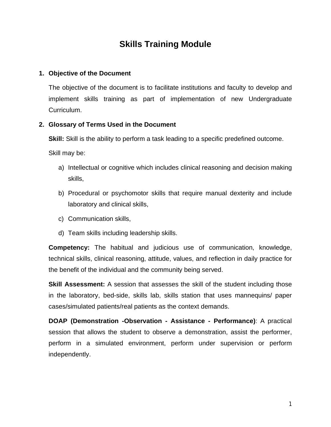### **Skills Training Module**

#### **1. Objective of the Document**

The objective of the document is to facilitate institutions and faculty to develop and implement skills training as part of implementation of new Undergraduate Curriculum.

#### **2. Glossary of Terms Used in the Document**

**Skill:** Skill is the ability to perform a task leading to a specific predefined outcome.

Skill may be:

- a) Intellectual or cognitive which includes clinical reasoning and decision making skills,
- b) Procedural or psychomotor skills that require manual dexterity and include laboratory and clinical skills,
- c) Communication skills,
- d) Team skills including leadership skills.

**Competency:** The habitual and judicious use of communication, knowledge, technical skills, clinical reasoning, attitude, values, and reflection in daily practice for the benefit of the individual and the community being served.

**Skill Assessment:** A session that assesses the skill of the student including those in the laboratory, bed-side, skills lab, skills station that uses mannequins/ paper cases/simulated patients/real patients as the context demands.

**DOAP (Demonstration -Observation - Assistance - Performance)**: A practical session that allows the student to observe a demonstration, assist the performer, perform in a simulated environment, perform under supervision or perform independently.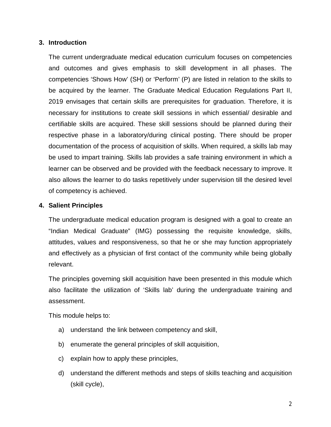#### **3. Introduction**

The current undergraduate medical education curriculum focuses on competencies and outcomes and gives emphasis to skill development in all phases. The competencies 'Shows How' (SH) or 'Perform' (P) are listed in relation to the skills to be acquired by the learner. The Graduate Medical Education Regulations Part II, 2019 envisages that certain skills are prerequisites for graduation. Therefore, it is necessary for institutions to create skill sessions in which essential/ desirable and certifiable skills are acquired. These skill sessions should be planned during their respective phase in a laboratory/during clinical posting. There should be proper documentation of the process of acquisition of skills. When required, a skills lab may be used to impart training. Skills lab provides a safe training environment in which a learner can be observed and be provided with the feedback necessary to improve. It also allows the learner to do tasks repetitively under supervision till the desired level of competency is achieved.

#### **4. Salient Principles**

The undergraduate medical education program is designed with a goal to create an "Indian Medical Graduate" (IMG) possessing the requisite knowledge, skills, attitudes, values and responsiveness, so that he or she may function appropriately and effectively as a physician of first contact of the community while being globally relevant.

The principles governing skill acquisition have been presented in this module which also facilitate the utilization of 'Skills lab' during the undergraduate training and assessment.

This module helps to:

- a) understand the link between competency and skill,
- b) enumerate the general principles of skill acquisition,
- c) explain how to apply these principles,
- d) understand the different methods and steps of skills teaching and acquisition (skill cycle),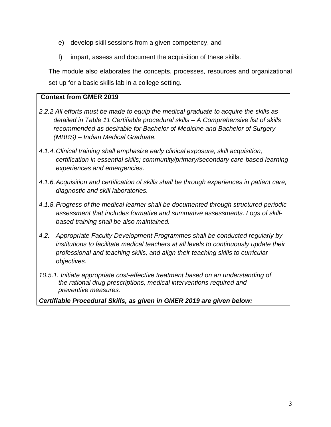- e) develop skill sessions from a given competency, and
- f) impart, assess and document the acquisition of these skills.

The module also elaborates the concepts, processes, resources and organizational set up for a basic skills lab in a college setting.

#### **Context from GMER 2019**

- *2.2.2 All efforts must be made to equip the medical graduate to acquire the skills as detailed in Table 11 Certifiable procedural skills – A Comprehensive list of skills recommended as desirable for Bachelor of Medicine and Bachelor of Surgery (MBBS) – Indian Medical Graduate.*
- *4.1.4.Clinical training shall emphasize early clinical exposure, skill acquisition, certification in essential skills; community/primary/secondary care-based learning experiences and emergencies.*
- *4.1.6.Acquisition and certification of skills shall be through experiences in patient care, diagnostic and skill laboratories.*
- *4.1.8.Progress of the medical learner shall be documented through structured periodic assessment that includes formative and summative assessments. Logs of skillbased training shall be also maintained.*
- *4.2. Appropriate Faculty Development Programmes shall be conducted regularly by institutions to facilitate medical teachers at all levels to continuously update their professional and teaching skills, and align their teaching skills to curricular objectives.*
- *10.5.1. Initiate appropriate cost-effective treatment based on an understanding of the rational drug prescriptions, medical interventions required and preventive measures.*

*Certifiable Procedural Skills, as given in GMER 2019 are given below:*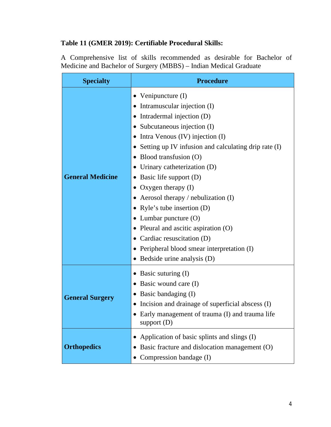#### **Table 11 (GMER 2019): Certifiable Procedural Skills:**

A Comprehensive list of skills recommended as desirable for Bachelor of Medicine and Bachelor of Surgery (MBBS) – Indian Medical Graduate

| <b>Specialty</b>        | <b>Procedure</b>                                                                                                                                                                                                                                                                                                                                                                                                                                                                                                                                                                |
|-------------------------|---------------------------------------------------------------------------------------------------------------------------------------------------------------------------------------------------------------------------------------------------------------------------------------------------------------------------------------------------------------------------------------------------------------------------------------------------------------------------------------------------------------------------------------------------------------------------------|
| <b>General Medicine</b> | Venipuncture (I)<br>Intramuscular injection (I)<br>• Intradermal injection (D)<br>Subcutaneous injection (I)<br>Intra Venous (IV) injection (I)<br>• Setting up IV infusion and calculating drip rate (I)<br>Blood transfusion (O)<br>• Urinary catheterization $(D)$<br>Basic life support (D)<br>Oxygen therapy $(I)$<br>Aerosol therapy / nebulization $(I)$<br>Ryle's tube insertion $(D)$<br>• Lumbar puncture $(O)$<br>• Pleural and ascitic aspiration $(O)$<br>Cardiac resuscitation (D)<br>• Peripheral blood smear interpretation (I)<br>• Bedside urine analysis (D) |
| <b>General Surgery</b>  | Basic suturing (I)<br>Basic wound care (I)<br>$\bullet$<br>Basic bandaging (I)<br>Incision and drainage of superficial abscess (I)<br>Early management of trauma (I) and trauma life<br>support $(D)$                                                                                                                                                                                                                                                                                                                                                                           |
| <b>Orthopedics</b>      | Application of basic splints and slings (I)<br>Basic fracture and dislocation management (O)<br>Compression bandage (I)<br>$\bullet$                                                                                                                                                                                                                                                                                                                                                                                                                                            |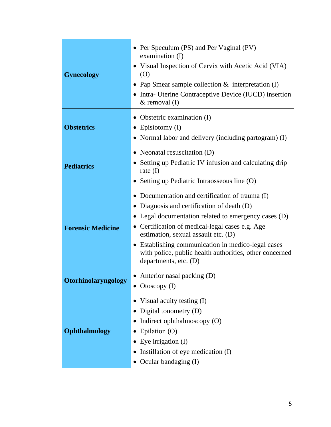| <b>Gynecology</b>        | • Per Speculum (PS) and Per Vaginal (PV)<br>examination $(I)$<br>• Visual Inspection of Cervix with Acetic Acid (VIA)<br>(O)<br>• Pap Smear sample collection $\&$ interpretation (I)<br>• Intra- Uterine Contraceptive Device (IUCD) insertion<br>$&$ removal $(I)$                                                                                                                             |
|--------------------------|--------------------------------------------------------------------------------------------------------------------------------------------------------------------------------------------------------------------------------------------------------------------------------------------------------------------------------------------------------------------------------------------------|
| <b>Obstetrics</b>        | Obstetric examination (I)<br>Episiotomy (I)<br>$\bullet$<br>• Normal labor and delivery (including partogram) (I)                                                                                                                                                                                                                                                                                |
| <b>Pediatrics</b>        | • Neonatal resuscitation $(D)$<br>• Setting up Pediatric IV infusion and calculating drip<br>rate $(I)$<br>• Setting up Pediatric Intraosseous line (O)                                                                                                                                                                                                                                          |
| <b>Forensic Medicine</b> | Documentation and certification of trauma (I)<br>$\bullet$<br>Diagnosis and certification of death (D)<br>• Legal documentation related to emergency cases (D)<br>• Certification of medical-legal cases e.g. Age<br>estimation, sexual assault etc. (D)<br>Establishing communication in medico-legal cases<br>with police, public health authorities, other concerned<br>departments, etc. (D) |
| Otorhinolaryngology      | • Anterior nasal packing $(D)$<br>Otoscopy $(I)$                                                                                                                                                                                                                                                                                                                                                 |
| Ophthalmology            | Visual acuity testing (I)<br>Digital tonometry (D)<br>Indirect ophthalmoscopy (O)<br>Epilation (O)<br>Eye irrigation (I)<br>$\bullet$<br>Instillation of eye medication (I)<br>Ocular bandaging (I)                                                                                                                                                                                              |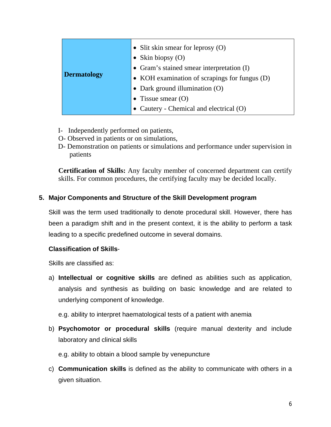| <b>Dermatology</b> | • Slit skin smear for leprosy $(O)$<br>• Skin biopsy $(O)$<br>• Gram's stained smear interpretation (I)<br>• KOH examination of scrapings for fungus (D)<br>• Dark ground illumination (O) |
|--------------------|--------------------------------------------------------------------------------------------------------------------------------------------------------------------------------------------|
|                    | • Tissue smear $(O)$<br>• Cautery - Chemical and electrical (O)                                                                                                                            |

- I- Independently performed on patients,
- O- Observed in patients or on simulations,
- D- Demonstration on patients or simulations and performance under supervision in patients

**Certification of Skills:** Any faculty member of concerned department can certify skills. For common procedures, the certifying faculty may be decided locally.

#### **5. Major Components and Structure of the Skill Development program**

Skill was the term used traditionally to denote procedural skill. However, there has been a paradigm shift and in the present context, it is the ability to perform a task leading to a specific predefined outcome in several domains.

#### **Classification of Skills**-

Skills are classified as:

a) **Intellectual or cognitive skills** are defined as abilities such as application, analysis and synthesis as building on basic knowledge and are related to underlying component of knowledge.

e.g. ability to interpret haematological tests of a patient with anemia

b) **Psychomotor or procedural skills** (require manual dexterity and include laboratory and clinical skills

e.g. ability to obtain a blood sample by venepuncture

c) **Communication skills** is defined as the ability to communicate with others in a given situation.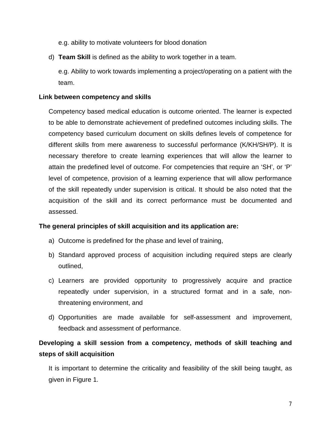e.g. ability to motivate volunteers for blood donation

d) **Team Skill** is defined as the ability to work together in a team.

e.g. Ability to work towards implementing a project/operating on a patient with the team.

#### **Link between competency and skills**

Competency based medical education is outcome oriented. The learner is expected to be able to demonstrate achievement of predefined outcomes including skills. The competency based curriculum document on skills defines levels of competence for different skills from mere awareness to successful performance (K/KH/SH/P). It is necessary therefore to create learning experiences that will allow the learner to attain the predefined level of outcome. For competencies that require an 'SH', or 'P' level of competence, provision of a learning experience that will allow performance of the skill repeatedly under supervision is critical. It should be also noted that the acquisition of the skill and its correct performance must be documented and assessed.

#### **The general principles of skill acquisition and its application are:**

- a) Outcome is predefined for the phase and level of training,
- b) Standard approved process of acquisition including required steps are clearly outlined,
- c) Learners are provided opportunity to progressively acquire and practice repeatedly under supervision, in a structured format and in a safe, nonthreatening environment, and
- d) Opportunities are made available for self-assessment and improvement, feedback and assessment of performance.

### **Developing a skill session from a competency, methods of skill teaching and steps of skill acquisition**

It is important to determine the criticality and feasibility of the skill being taught, as given in Figure 1.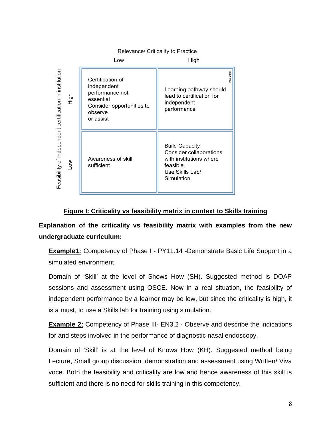Relevance/ Criticality to Practice Low High Feasibility of independent certification in institution **(GS 2018** Certification of independent Learning pathway should performance not lead to certification for High essential independent Consider opportunities to performance observe or assist **Build Capacity** Consider collaborations Awareness of skill with institutions where Low sufficient feasible Use Skills Lab/ Simulation

#### **Figure I: Criticality vs feasibility matrix in context to Skills training**

**Explanation of the criticality vs feasibility matrix with examples from the new undergraduate curriculum:**

**Example1:** Competency of Phase I - PY11.14 -Demonstrate Basic Life Support in a simulated environment.

Domain of 'Skill' at the level of Shows How (SH). Suggested method is DOAP sessions and assessment using OSCE. Now in a real situation, the feasibility of independent performance by a learner may be low, but since the criticality is high, it is a must, to use a Skills lab for training using simulation.

**Example 2:** Competency of Phase III- EN3.2 - Observe and describe the indications for and steps involved in the performance of diagnostic nasal endoscopy.

Domain of 'Skill' is at the level of Knows How (KH). Suggested method being Lecture, Small group discussion, demonstration and assessment using Written/ Viva voce. Both the feasibility and criticality are low and hence awareness of this skill is sufficient and there is no need for skills training in this competency.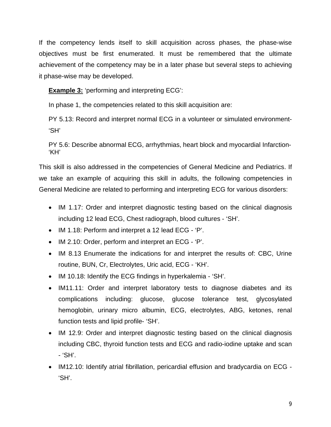If the competency lends itself to skill acquisition across phases, the phase-wise objectives must be first enumerated. It must be remembered that the ultimate achievement of the competency may be in a later phase but several steps to achieving it phase-wise may be developed.

**Example 3:** 'performing and interpreting ECG':

In phase 1, the competencies related to this skill acquisition are:

PY 5.13: Record and interpret normal ECG in a volunteer or simulated environment- 'SH'

PY 5.6: Describe abnormal ECG, arrhythmias, heart block and myocardial Infarction- 'KH'

This skill is also addressed in the competencies of General Medicine and Pediatrics. If we take an example of acquiring this skill in adults, the following competencies in General Medicine are related to performing and interpreting ECG for various disorders:

- IM 1.17: Order and interpret diagnostic testing based on the clinical diagnosis including 12 lead ECG, Chest radiograph, blood cultures - 'SH'.
- IM 1.18: Perform and interpret a 12 lead ECG 'P'.
- IM 2.10: Order, perform and interpret an ECG 'P'.
- IM 8.13 Enumerate the indications for and interpret the results of: CBC, Urine routine, BUN, Cr, Electrolytes, Uric acid, ECG - 'KH'.
- IM 10.18: Identify the ECG findings in hyperkalemia 'SH'.
- IM11.11: Order and interpret laboratory tests to diagnose diabetes and its complications including: glucose, glucose tolerance test, glycosylated hemoglobin, urinary micro albumin, ECG, electrolytes, ABG, ketones, renal function tests and lipid profile- 'SH'.
- IM 12.9: Order and interpret diagnostic testing based on the clinical diagnosis including CBC, thyroid function tests and ECG and radio-iodine uptake and scan - 'SH'.
- IM12.10: Identify atrial fibrillation, pericardial effusion and bradycardia on ECG 'SH'.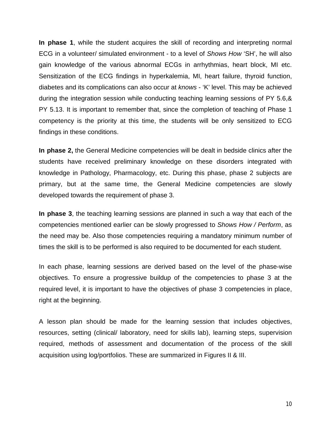**In phase 1**, while the student acquires the skill of recording and interpreting normal ECG in a volunteer/ simulated environment - to a level of *Shows How* 'SH', he will also gain knowledge of the various abnormal ECGs in arrhythmias, heart block, MI etc. Sensitization of the ECG findings in hyperkalemia, MI, heart failure, thyroid function, diabetes and its complications can also occur at *knows* - 'K' level. This may be achieved during the integration session while conducting teaching learning sessions of PY 5.6,& PY 5.13. It is important to remember that, since the completion of teaching of Phase 1 competency is the priority at this time, the students will be only sensitized to ECG findings in these conditions.

**In phase 2,** the General Medicine competencies will be dealt in bedside clinics after the students have received preliminary knowledge on these disorders integrated with knowledge in Pathology, Pharmacology, etc. During this phase, phase 2 subjects are primary, but at the same time, the General Medicine competencies are slowly developed towards the requirement of phase 3.

**In phase 3**, the teaching learning sessions are planned in such a way that each of the competencies mentioned earlier can be slowly progressed to *Shows How / Perform*, as the need may be. Also those competencies requiring a mandatory minimum number of times the skill is to be performed is also required to be documented for each student.

In each phase, learning sessions are derived based on the level of the phase-wise objectives. To ensure a progressive buildup of the competencies to phase 3 at the required level, it is important to have the objectives of phase 3 competencies in place, right at the beginning.

A lesson plan should be made for the learning session that includes objectives, resources, setting (clinical/ laboratory, need for skills lab), learning steps, supervision required, methods of assessment and documentation of the process of the skill acquisition using log/portfolios. These are summarized in Figures II & III.

10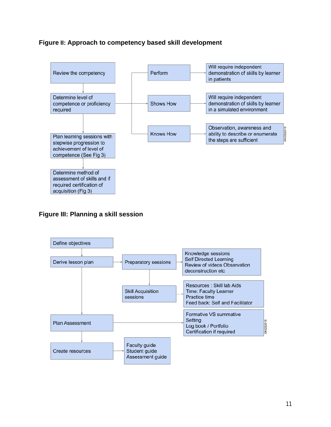#### **Figure II: Approach to competency based skill development**



#### **Figure III: Planning a skill session**

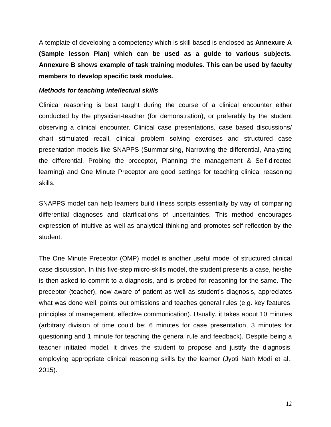A template of developing a competency which is skill based is enclosed as **Annexure A (Sample lesson Plan) which can be used as a guide to various subjects. Annexure B shows example of task training modules. This can be used by faculty members to develop specific task modules.**

#### *Methods for teaching intellectual skills*

Clinical reasoning is best taught during the course of a clinical encounter either conducted by the physician-teacher (for demonstration), or preferably by the student observing a clinical encounter. Clinical case presentations, case based discussions/ chart stimulated recall, clinical problem solving exercises and structured case presentation models like SNAPPS (Summarising, Narrowing the differential, Analyzing the differential, Probing the preceptor, Planning the management & Self-directed learning) and One Minute Preceptor are good settings for teaching clinical reasoning skills.

SNAPPS model can help learners build illness scripts essentially by way of comparing differential diagnoses and clarifications of uncertainties. This method encourages expression of intuitive as well as analytical thinking and promotes self-reflection by the student.

The One Minute Preceptor (OMP) model is another useful model of structured clinical case discussion. In this five-step micro-skills model, the student presents a case, he/she is then asked to commit to a diagnosis, and is probed for reasoning for the same. The preceptor (teacher), now aware of patient as well as student's diagnosis, appreciates what was done well, points out omissions and teaches general rules (e.g. key features, principles of management, effective communication). Usually, it takes about 10 minutes (arbitrary division of time could be: 6 minutes for case presentation, 3 minutes for questioning and 1 minute for teaching the general rule and feedback). Despite being a teacher initiated model, it drives the student to propose and justify the diagnosis, employing appropriate clinical reasoning skills by the learner (Jyoti Nath Modi et al., 2015).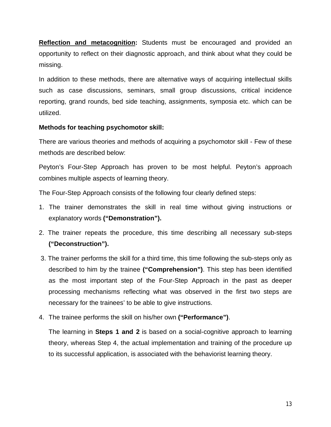**Reflection and metacognition:** Students must be encouraged and provided an opportunity to reflect on their diagnostic approach, and think about what they could be missing.

In addition to these methods, there are alternative ways of acquiring intellectual skills such as case discussions, seminars, small group discussions, critical incidence reporting, grand rounds, bed side teaching, assignments, symposia etc. which can be utilized.

#### **Methods for teaching psychomotor skill:**

There are various theories and methods of acquiring a psychomotor skill - Few of these methods are described below:

Peyton's Four-Step Approach has proven to be most helpful. Peyton's approach combines multiple aspects of learning theory.

The Four-Step Approach consists of the following four clearly defined steps:

- 1. The trainer demonstrates the skill in real time without giving instructions or explanatory words **("Demonstration").**
- 2. The trainer repeats the procedure, this time describing all necessary sub-steps **("Deconstruction").**
- 3. The trainer performs the skill for a third time, this time following the sub-steps only as described to him by the trainee **("Comprehension")**. This step has been identified as the most important step of the Four-Step Approach in the past as deeper processing mechanisms reflecting what was observed in the first two steps are necessary for the trainees' to be able to give instructions.
- 4. The trainee performs the skill on his/her own **("Performance")**.

The learning in **Steps 1 and 2** is based on a social-cognitive approach to learning theory, whereas Step 4, the actual implementation and training of the procedure up to its successful application, is associated with the behaviorist learning theory.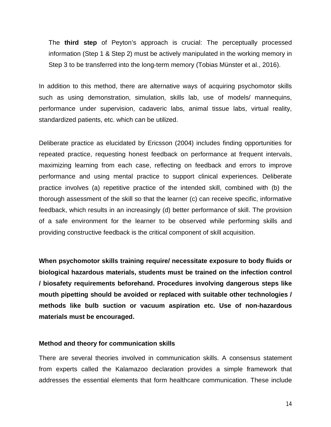The **third step** of Peyton's approach is crucial: The perceptually processed information (Step 1 & Step 2) must be actively manipulated in the working memory in Step 3 to be transferred into the long-term memory (Tobias Münster et al., 2016).

In addition to this method, there are alternative ways of acquiring psychomotor skills such as using demonstration, simulation, skills lab, use of models/ mannequins, performance under supervision, cadaveric labs, animal tissue labs, virtual reality, standardized patients, etc. which can be utilized.

Deliberate practice as elucidated by Ericsson (2004) includes finding opportunities for repeated practice, requesting honest feedback on performance at frequent intervals, maximizing learning from each case, reflecting on feedback and errors to improve performance and using mental practice to support clinical experiences. Deliberate practice involves (a) repetitive practice of the intended skill, combined with (b) the thorough assessment of the skill so that the learner (c) can receive specific, informative feedback, which results in an increasingly (d) better performance of skill. The provision of a safe environment for the learner to be observed while performing skills and providing constructive feedback is the critical component of skill acquisition.

**When psychomotor skills training require/ necessitate exposure to body fluids or biological hazardous materials, students must be trained on the infection control / biosafety requirements beforehand. Procedures involving dangerous steps like mouth pipetting should be avoided or replaced with suitable other technologies / methods like bulb suction or vacuum aspiration etc. Use of non-hazardous materials must be encouraged.**

#### **Method and theory for communication skills**

There are several theories involved in communication skills. A consensus statement from experts called the Kalamazoo declaration provides a simple framework that addresses the essential elements that form healthcare communication. These include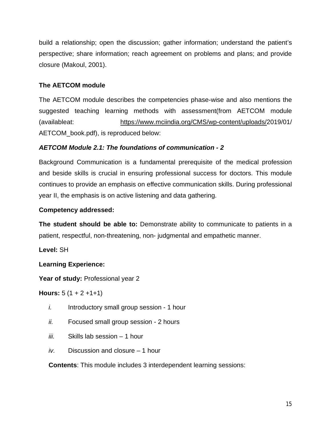build a relationship; open the discussion; gather information; understand the patient's perspective; share information; reach agreement on problems and plans; and provide closure (Makoul, 2001).

#### **The AETCOM module**

The AETCOM module describes the competencies phase-wise and also mentions the suggested teaching learning methods with assessment(from AETCOM module (availableat: https://www.mciindia.org/CMS/wp-content/uploads/2019/01/ AETCOM\_book.pdf), is reproduced below:

#### *AETCOM Module 2.1: The foundations of communication - 2*

Background Communication is a fundamental prerequisite of the medical profession and beside skills is crucial in ensuring professional success for doctors. This module continues to provide an emphasis on effective communication skills. During professional year II, the emphasis is on active listening and data gathering.

#### **Competency addressed:**

**The student should be able to:** Demonstrate ability to communicate to patients in a patient, respectful, non-threatening, non- judgmental and empathetic manner.

**Level:** SH

#### **Learning Experience:**

**Year of study:** Professional year 2

**Hours:**  $5(1 + 2 + 1 + 1)$ 

- *i.* Introductory small group session 1 hour
- *ii.* Focused small group session 2 hours
- *iii.* Skills lab session 1 hour
- *iv.* Discussion and closure 1 hour

**Contents**: This module includes 3 interdependent learning sessions: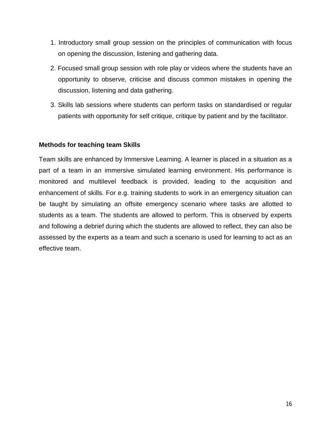- 1. Introductory small group session on the principles of communication with focus on opening the discussion, listening and gathering data.
- 2. Focused small group session with role play or videos where the students have an opportunity to observe, criticise and discuss common mistakes in opening the discussion, listening and data gathering.
- 3. Skills lab sessions where students can perform tasks on standardised or regular patients with opportunity for self critique, critique by patient and by the facilitator.

#### **Methods for teaching team Skills**

Team skills are enhanced by Immersive Learning. A learner is placed in a situation as a part of a team in an immersive simulated learning environment. His performance is monitored and multilevel feedback is provided, leading to the acquisition and enhancement of skills. For e.g. training students to work in an emergency situation can be taught by simulating an offsite emergency scenario where tasks are allotted to students as a team. The students are allowed to perform. This is observed by experts and following a debrief during which the students are allowed to reflect, they can also be assessed by the experts as a team and such a scenario is used for learning to act as an effective team.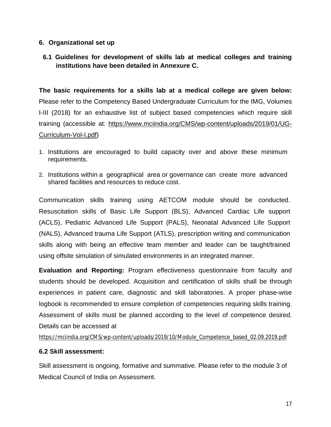#### **6. Organizational set up**

**6.1 Guidelines for development of skills lab at medical colleges and training institutions have been detailed in Annexure C.**

**The basic requirements for a skills lab at a medical college are given below:** Please refer to the Competency Based Undergraduate Curriculum for the IMG, Volumes I-III (2018) for an exhaustive list of subject based competencies which require skill training (accessible at: https://www.mciindia.org/CMS/wp-content/uploads/2019/01/UG-Curriculum-Vol-I.pdf)

- 1. Institutions are encouraged to build capacity over and above these minimum requirements.
- 2. Institutions within a geographical area or governance can create more advanced shared facilities and resources to reduce cost.

Communication skills training using AETCOM module should be conducted. Resuscitation skills of Basic Life Support (BLS), Advanced Cardiac Life support (ACLS), Pediatric Advanced Life Support (PALS), Neonatal Advanced Life Support (NALS), Advanced trauma Life Support (ATLS), prescription writing and communication skills along with being an effective team member and leader can be taught/trained using offsite simulation of simulated environments in an integrated manner.

**Evaluation and Reporting:** Program effectiveness questionnaire from faculty and students should be developed. Acquisition and certification of skills shall be through experiences in patient care, diagnostic and skill laboratories. A proper phase-wise logbook is recommended to ensure completion of competencies requiring skills training. Assessment of skills must be planned according to the level of competence desired. Details can be accessed at

https://mciindia.org/CMS/wp-content/uploads/2019/10/Module\_Competence\_based\_02.09.2019.pdf

#### **6.2 Skill assessment:**

Skill assessment is ongoing, formative and summative. Please refer to the module 3 of Medical Council of India on Assessment.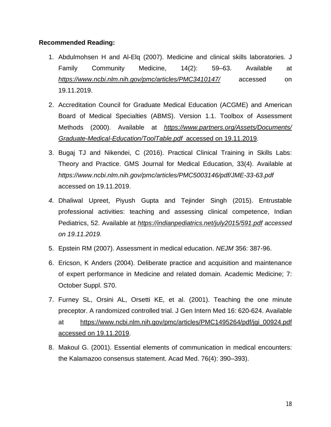#### **Recommended Reading:**

- 1. Abdulmohsen H and Al-Elq (2007). Medicine and clinical skills laboratories. J Family Community Medicine, 14(2): 59–63. Available at *https://www.ncbi.nlm.nih.gov/pmc/articles/PMC3410147/* accessed on 19.11.2019.
- 2. Accreditation Council for Graduate Medical Education (ACGME) and American Board of Medical Specialties (ABMS). Version 1.1. Toolbox of Assessment Methods (2000). Available at *https://www.partners.org/Assets/Documents/ Graduate-Medical-Education/ToolTable.pdf* accessed on 19.11.2019*.*
- 3. Bugaj TJ and Nikendei, C (2016). Practical Clinical Training in Skills Labs: Theory and Practice. GMS Journal for Medical Education, 33(4). Available at *https://www.ncbi.nlm.nih.gov/pmc/articles/PMC5003146/pdf/JME-33-63.pdf* accessed on 19.11.2019.
- *4.* Dhaliwal Upreet, Piyush Gupta and Tejinder Singh (2015). Entrustable professional activities: teaching and assessing clinical competence, Indian Pediatrics, 52. Available at *https://indianpediatrics.net/july2015/591.pdf accessed on 19.11.2019.*
- 5. Epstein RM (2007). Assessment in medical education. *NEJM* 356: 387-96.
- 6. Ericson, K Anders (2004). Deliberate practice and acquisition and maintenance of expert performance in Medicine and related domain. Academic Medicine; 7: October Suppl. S70.
- 7. Furney SL, Orsini AL, Orsetti KE, et al. (2001). Teaching the one minute preceptor. A randomized controlled trial. J Gen Intern Med 16: 620-624. Available at https://www.ncbi.nlm.nih.gov/pmc/articles/PMC1495264/pdf/jgi\_00924.pdf accessed on 19.11.2019.
- 8. Makoul G. (2001). Essential elements of communication in medical encounters: the Kalamazoo consensus statement. Acad Med. 76(4): 390–393).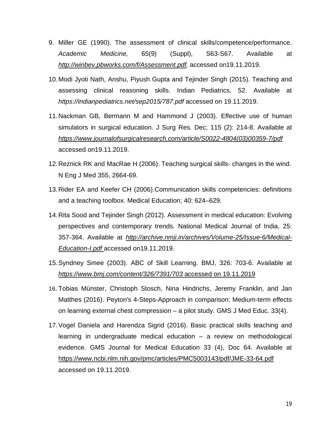- 9. Miller GE (1990). The assessment of clinical skills/competence/performance. *Academic Medicine,* 65(9) (Suppl), S63-S67. Available at *http://winbev.pbworks.com/f/Assessment.pdf,* accessed on19.11.2019.
- 10.Modi Jyoti Nath, Anshu, Piyush Gupta and Tejinder Singh (2015). Teaching and assessing clinical reasoning skills. Indian Pediatrics, 52. Available at *https://indianpediatrics.net/sep2015/787.pdf* accessed on 19.11.2019.
- 11.Nackman GB, Bermann M and Hammond J (2003). Effective use of human simulators in surgical education. J Surg Res. Dec; 115 (2): 214-8. Available at *https://www.journalofsurgicalresearch.com/article/S0022-4804(03)00359-7/pdf* accessed on19.11.2019.
- 12.Reznick RK and MacRae H (2006). Teaching surgical skills- changes in the wind. N Eng J Med 355, 2664-69.
- 13.Rider EA and Keefer CH (2006).Communication skills competencies: definitions and a teaching toolbox. Medical Education; 40: 624–629.
- 14.Rita Sood and Tejinder Singh (2012). Assessment in medical education: Evolving perspectives and contemporary trends. National Medical Journal of India, 25: 357-364. Available at *http://archive.nmji.in/archives/Volume-25/Issue-6/Medical-Education-I.pdf* accessed on19.11.2019.
- 15.Syndney Smee (2003). ABC of Skill Learning. BMJ, 326: 703-6. Available at *https://www.bmj.com/content/326/7391/703* accessed on 19.11.2019
- 16. Tobias Münster, Christoph Stosch, Nina Hindrichs, Jeremy Franklin, and Jan Matthes (2016). Peyton's 4-Steps-Approach in comparison: Medium-term effects on learning external chest compression – a pilot study. GMS J Med Educ. 33(4).
- 17.Vogel Daniela and Harendza Sigrid (2016). Basic practical skills teaching and learning in undergraduate medical education – a review on methodological evidence. GMS Journal for Medical Education 33 (4), Doc 64. Available at https://www.ncbi.nlm.nih.gov/pmc/articles/PMC5003143/pdf/JME-33-64.pdf accessed on 19.11.2019.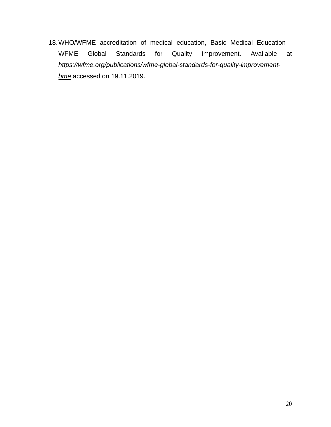18.WHO/WFME accreditation of medical education, Basic Medical Education - WFME Global Standards for Quality Improvement. Available at *https://wfme.org/publications/wfme-global-standards-for-quality-improvementbme* accessed on 19.11.2019.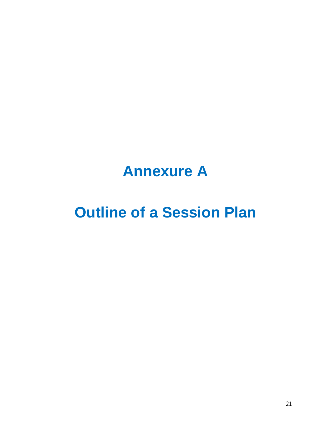# **Annexure A**

# **Outline of a Session Plan**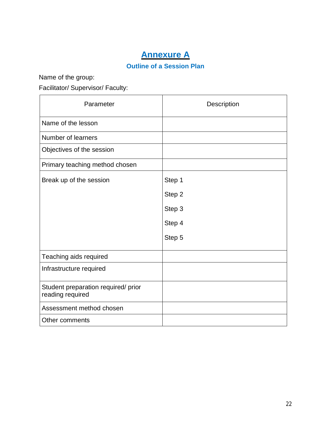## **Annexure A**

#### **Outline of a Session Plan**

Name of the group:

Facilitator/ Supervisor/ Faculty:

| Parameter                                               | Description |
|---------------------------------------------------------|-------------|
| Name of the lesson                                      |             |
| Number of learners                                      |             |
| Objectives of the session                               |             |
| Primary teaching method chosen                          |             |
| Break up of the session                                 | Step 1      |
|                                                         | Step 2      |
|                                                         | Step 3      |
|                                                         | Step 4      |
|                                                         | Step 5      |
| Teaching aids required                                  |             |
| Infrastructure required                                 |             |
| Student preparation required/ prior<br>reading required |             |
| Assessment method chosen                                |             |
| Other comments                                          |             |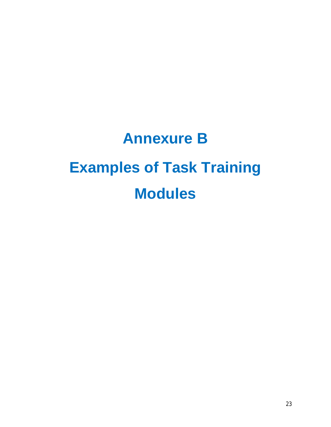# **Annexure B Examples of Task Training Modules**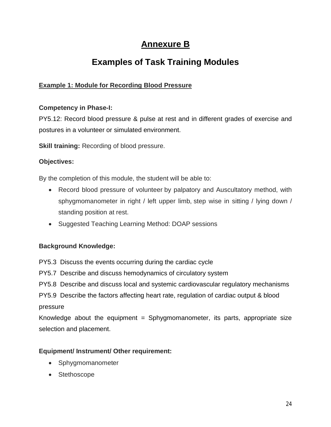## **Annexure B**

## **Examples of Task Training Modules**

#### **Example 1: Module for Recording Blood Pressure**

#### **Competency in Phase-I:**

PY5.12: Record blood pressure & pulse at rest and in different grades of exercise and postures in a volunteer or simulated environment.

**Skill training:** Recording of blood pressure.

#### **Objectives:**

By the completion of this module, the student will be able to:

- Record blood pressure of volunteer by palpatory and Auscultatory method, with sphygmomanometer in right / left upper limb, step wise in sitting / lying down / standing position at rest.
- Suggested Teaching Learning Method: DOAP sessions

#### **Background Knowledge:**

PY5.3 Discuss the events occurring during the cardiac cycle

PY5.7 Describe and discuss hemodynamics of circulatory system

PY5.8 Describe and discuss local and systemic cardiovascular regulatory mechanisms

PY5.9 Describe the factors affecting heart rate, regulation of cardiac output & blood pressure

Knowledge about the equipment  $=$  Sphygmomanometer, its parts, appropriate size selection and placement.

#### **Equipment/ Instrument/ Other requirement:**

- Sphygmomanometer
- Stethoscope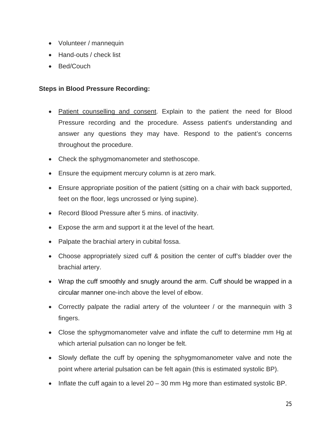- Volunteer / mannequin
- Hand-outs / check list
- Bed/Couch

#### **Steps in Blood Pressure Recording:**

- Patient counselling and consent. Explain to the patient the need for Blood Pressure recording and the procedure. Assess patient's understanding and answer any questions they may have. Respond to the patient's concerns throughout the procedure.
- Check the sphygmomanometer and stethoscope.
- Ensure the equipment mercury column is at zero mark.
- Ensure appropriate position of the patient (sitting on a chair with back supported, feet on the floor, legs uncrossed or lying supine).
- Record Blood Pressure after 5 mins. of inactivity.
- Expose the arm and support it at the level of the heart.
- Palpate the brachial artery in cubital fossa.
- Choose appropriately sized cuff & position the center of cuff's bladder over the brachial artery.
- Wrap the cuff smoothly and snugly around the arm. Cuff should be wrapped in a circular manner one-inch above the level of elbow.
- Correctly palpate the radial artery of the volunteer / or the mannequin with 3 fingers.
- Close the sphygmomanometer valve and inflate the cuff to determine mm Hg at which arterial pulsation can no longer be felt.
- Slowly deflate the cuff by opening the sphygmomanometer valve and note the point where arterial pulsation can be felt again (this is estimated systolic BP).
- Inflate the cuff again to a level  $20 30$  mm Hg more than estimated systolic BP.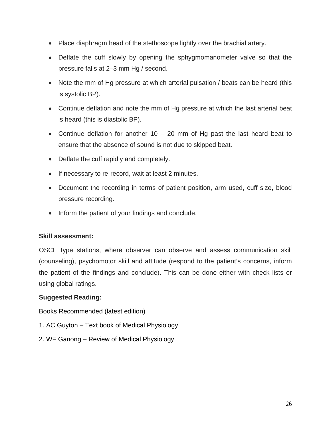- Place diaphragm head of the stethoscope lightly over the brachial artery.
- Deflate the cuff slowly by opening the sphygmomanometer valve so that the pressure falls at 2–3 mm Hg / second.
- Note the mm of Hg pressure at which arterial pulsation / beats can be heard (this is systolic BP).
- Continue deflation and note the mm of Hg pressure at which the last arterial beat is heard (this is diastolic BP).
- Continue deflation for another  $10 20$  mm of Hg past the last heard beat to ensure that the absence of sound is not due to skipped beat.
- Deflate the cuff rapidly and completely.
- If necessary to re-record, wait at least 2 minutes.
- Document the recording in terms of patient position, arm used, cuff size, blood pressure recording.
- Inform the patient of your findings and conclude.

#### **Skill assessment:**

OSCE type stations, where observer can observe and assess communication skill (counseling), psychomotor skill and attitude (respond to the patient's concerns, inform the patient of the findings and conclude). This can be done either with check lists or using global ratings.

#### **Suggested Reading:**

Books Recommended (latest edition)

- 1. AC Guyton Text book of Medical Physiology
- 2. WF Ganong Review of Medical Physiology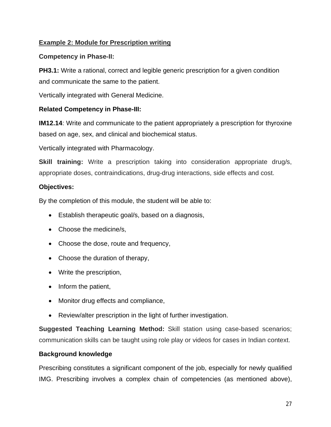#### **Example 2: Module for Prescription writing**

#### **Competency in Phase-II:**

**PH3.1:** Write a rational, correct and legible generic prescription for a given condition and communicate the same to the patient.

Vertically integrated with General Medicine.

#### **Related Competency in Phase-III:**

**IM12.14**: Write and communicate to the patient appropriately a prescription for thyroxine based on age, sex, and clinical and biochemical status.

Vertically integrated with Pharmacology.

**Skill training:** Write a prescription taking into consideration appropriate drug/s, appropriate doses, contraindications, drug-drug interactions, side effects and cost.

#### **Objectives:**

By the completion of this module, the student will be able to:

- Establish therapeutic goal/s, based on a diagnosis,
- Choose the medicine/s,
- Choose the dose, route and frequency,
- Choose the duration of therapy,
- Write the prescription,
- Inform the patient,
- Monitor drug effects and compliance,
- Review/alter prescription in the light of further investigation.

**Suggested Teaching Learning Method:** Skill station using case-based scenarios; communication skills can be taught using role play or videos for cases in Indian context.

#### **Background knowledge**

Prescribing constitutes a significant component of the job, especially for newly qualified IMG. Prescribing involves a complex chain of competencies (as mentioned above),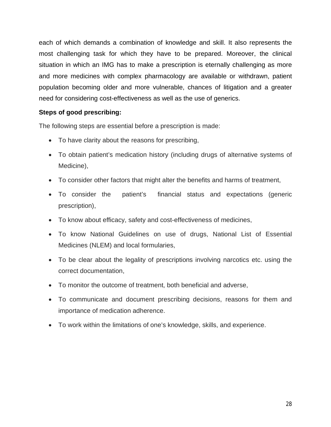each of which demands a combination of knowledge and skill. It also represents the most challenging task for which they have to be prepared. Moreover, the clinical situation in which an IMG has to make a prescription is eternally challenging as more and more medicines with complex pharmacology are available or withdrawn, patient population becoming older and more vulnerable, chances of litigation and a greater need for considering cost-effectiveness as well as the use of generics.

#### **Steps of good prescribing:**

The following steps are essential before a prescription is made:

- To have clarity about the reasons for prescribing,
- To obtain patient's medication history (including drugs of alternative systems of Medicine),
- To consider other factors that might alter the benefits and harms of treatment,
- To consider the patient's financial status and expectations (generic prescription),
- To know about efficacy, safety and cost-effectiveness of medicines,
- To know National Guidelines on use of drugs, National List of Essential Medicines (NLEM) and local formularies,
- To be clear about the legality of prescriptions involving narcotics etc. using the correct documentation,
- To monitor the outcome of treatment, both beneficial and adverse,
- To communicate and document prescribing decisions, reasons for them and importance of medication adherence.
- To work within the limitations of one's knowledge, skills, and experience.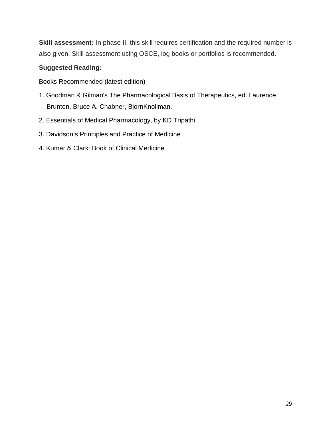**Skill assessment:** In phase II, this skill requires certification and the required number is also given. Skill assessment using OSCE, log books or portfolios is recommended.

#### **Suggested Reading:**

Books Recommended (latest edition)

- 1. Goodman & Gilman's The Pharmacological Basis of Therapeutics, ed. Laurence Brunton, Bruce A. Chabner, BjornKnollman.
- 2. Essentials of Medical Pharmacology, by KD Tripathi
- 3. Davidson's Principles and Practice of Medicine
- 4. Kumar & Clark: Book of Clinical Medicine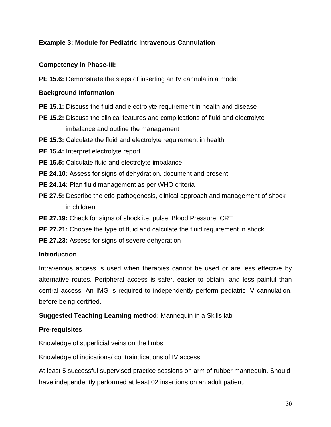#### **Example 3: Module for Pediatric Intravenous Cannulation**

#### **Competency in Phase-III:**

**PE 15.6:** Demonstrate the steps of inserting an IV cannula in a model

#### **Background Information**

- **PE 15.1:** Discuss the fluid and electrolyte requirement in health and disease
- **PE 15.2:** Discuss the clinical features and complications of fluid and electrolyte imbalance and outline the management
- **PE 15.3:** Calculate the fluid and electrolyte requirement in health
- **PE 15.4:** Interpret electrolyte report
- **PE 15.5:** Calculate fluid and electrolyte imbalance
- **PE 24.10:** Assess for signs of dehydration, document and present
- **PE 24.14:** Plan fluid management as per WHO criteria
- **PE 27.5:** Describe the etio-pathogenesis, clinical approach and management of shock in children
- **PE 27.19:** Check for signs of shock i.e. pulse, Blood Pressure, CRT
- **PE 27.21:** Choose the type of fluid and calculate the fluid requirement in shock
- **PE 27.23:** Assess for signs of severe dehydration

#### **Introduction**

Intravenous access is used when therapies cannot be used or are less effective by alternative routes. Peripheral access is safer, easier to obtain, and less painful than central access. An IMG is required to independently perform pediatric IV cannulation, before being certified.

#### **Suggested Teaching Learning method:** Mannequin in a Skills lab

#### **Pre-requisites**

Knowledge of superficial veins on the limbs,

Knowledge of indications/ contraindications of IV access,

At least 5 successful supervised practice sessions on arm of rubber mannequin. Should have independently performed at least 02 insertions on an adult patient.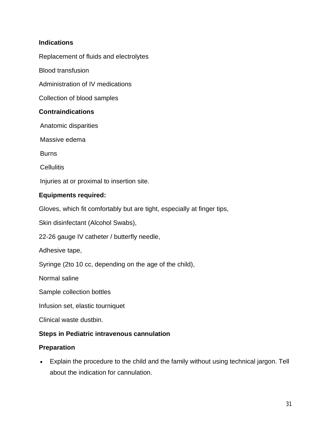#### **Indications**

Replacement of fluids and electrolytes

Blood transfusion

Administration of IV medications

Collection of blood samples

#### **Contraindications**

Anatomic disparities

Massive edema

**Burns** 

**Cellulitis** 

Injuries at or proximal to insertion site.

#### **Equipments required:**

Gloves, which fit comfortably but are tight, especially at finger tips,

Skin disinfectant (Alcohol Swabs),

22-26 gauge IV catheter / butterfly needle,

Adhesive tape,

Syringe (2to 10 cc, depending on the age of the child),

Normal saline

Sample collection bottles

Infusion set, elastic tourniquet

Clinical waste dustbin.

#### **Steps in Pediatric intravenous cannulation**

#### **Preparation**

 Explain the procedure to the child and the family without using technical jargon. Tell about the indication for cannulation.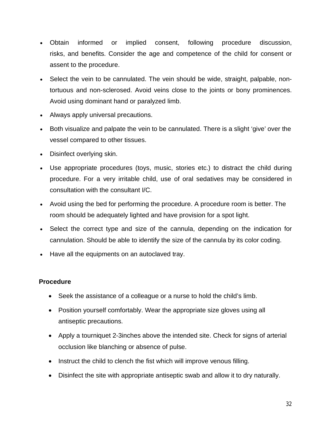- Obtain informed or implied consent, following procedure discussion, risks, and benefits. Consider the age and competence of the child for consent or assent to the procedure.
- Select the vein to be cannulated. The vein should be wide, straight, palpable, nontortuous and non-sclerosed. Avoid veins close to the joints or bony prominences. Avoid using dominant hand or paralyzed limb.
- Always apply universal precautions.
- Both visualize and palpate the vein to be cannulated. There is a slight 'give' over the vessel compared to other tissues.
- Disinfect overlying skin.
- Use appropriate procedures (toys, music, stories etc.) to distract the child during procedure. For a very irritable child, use of oral sedatives may be considered in consultation with the consultant I/C.
- Avoid using the bed for performing the procedure. A procedure room is better. The room should be adequately lighted and have provision for a spot light.
- Select the correct type and size of the cannula, depending on the indication for cannulation. Should be able to identify the size of the cannula by its color coding.
- Have all the equipments on an autoclaved tray.

#### **Procedure**

- Seek the assistance of a colleague or a nurse to hold the child's limb.
- Position yourself comfortably. Wear the appropriate size gloves using all antiseptic precautions.
- Apply a tourniquet 2-3inches above the intended site. Check for signs of arterial occlusion like blanching or absence of pulse.
- Instruct the child to clench the fist which will improve venous filling.
- Disinfect the site with appropriate antiseptic swab and allow it to dry naturally.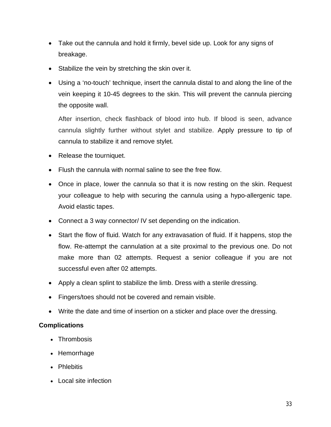- Take out the cannula and hold it firmly, bevel side up. Look for any signs of breakage.
- Stabilize the vein by stretching the skin over it.
- Using a 'no-touch' technique, insert the cannula distal to and along the line of the vein keeping it 10-45 degrees to the skin. This will prevent the cannula piercing the opposite wall.

After insertion, check flashback of blood into hub. If blood is seen, advance cannula slightly further without stylet and stabilize. Apply pressure to tip of cannula to stabilize it and remove stylet.

- Release the tourniquet.
- Flush the cannula with normal saline to see the free flow.
- Once in place, lower the cannula so that it is now resting on the skin. Request your colleague to help with securing the cannula using a hypo-allergenic tape. Avoid elastic tapes.
- Connect a 3 way connector/ IV set depending on the indication.
- Start the flow of fluid. Watch for any extravasation of fluid. If it happens, stop the flow. Re-attempt the cannulation at a site proximal to the previous one. Do not make more than 02 attempts. Request a senior colleague if you are not successful even after 02 attempts.
- Apply a clean splint to stabilize the limb. Dress with a sterile dressing.
- Fingers/toes should not be covered and remain visible.
- Write the date and time of insertion on a sticker and place over the dressing.

#### **Complications**

- Thrombosis
- Hemorrhage
- Phlebitis
- Local site infection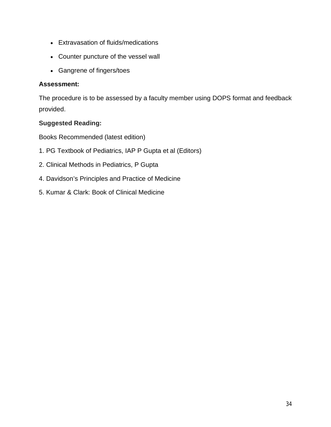- Extravasation of fluids/medications
- Counter puncture of the vessel wall
- Gangrene of fingers/toes

#### **Assessment:**

The procedure is to be assessed by a faculty member using DOPS format and feedback provided.

#### **Suggested Reading:**

Books Recommended (latest edition)

- 1. PG Textbook of Pediatrics, IAP P Gupta et al (Editors)
- 2. Clinical Methods in Pediatrics, P Gupta
- 4. Davidson's Principles and Practice of Medicine
- 5. Kumar & Clark: Book of Clinical Medicine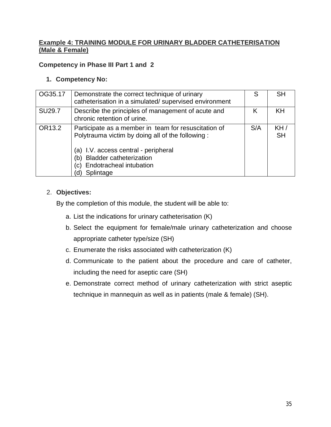#### **Example 4: TRAINING MODULE FOR URINARY BLADDER CATHETERISATION (Male & Female)**

#### **Competency in Phase III Part 1 and 2**

#### **1. Competency No:**

| OG35.17       | Demonstrate the correct technique of urinary<br>catheterisation in a simulated/ supervised environment                                                                                                                                               | S   | <b>SH</b>        |
|---------------|------------------------------------------------------------------------------------------------------------------------------------------------------------------------------------------------------------------------------------------------------|-----|------------------|
| <b>SU29.7</b> | Describe the principles of management of acute and<br>chronic retention of urine.                                                                                                                                                                    | Κ   | KH               |
| OR13.2        | Participate as a member in team for resuscitation of<br>Polytrauma victim by doing all of the following:<br>(a) I.V. access central - peripheral<br><b>Bladder catheterization</b><br>(b`<br><b>Endotracheal intubation</b><br>C)<br>Splintage<br>d) | S/A | KH/<br><b>SH</b> |

#### 2. **Objectives:**

By the completion of this module, the student will be able to:

- a. List the indications for urinary catheterisation (K)
- b. Select the equipment for female/male urinary catheterization and choose appropriate catheter type/size (SH)
- c. Enumerate the risks associated with catheterization (K)
- d. Communicate to the patient about the procedure and care of catheter, including the need for aseptic care (SH)
- e. Demonstrate correct method of urinary catheterization with strict aseptic technique in mannequin as well as in patients (male & female) (SH).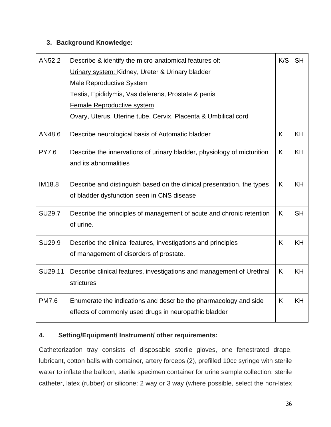#### **3. Background Knowledge:**

| AN52.2        | Describe & identify the micro-anatomical features of:                   | K/S | <b>SH</b> |
|---------------|-------------------------------------------------------------------------|-----|-----------|
|               | Urinary system: Kidney, Ureter & Urinary bladder                        |     |           |
|               | <b>Male Reproductive System</b>                                         |     |           |
|               |                                                                         |     |           |
|               | Testis, Epididymis, Vas deferens, Prostate & penis                      |     |           |
|               | <b>Female Reproductive system</b>                                       |     |           |
|               | Ovary, Uterus, Uterine tube, Cervix, Placenta & Umbilical cord          |     |           |
| AN48.6        | Describe neurological basis of Automatic bladder                        | K.  | <b>KH</b> |
| <b>PY7.6</b>  | Describe the innervations of urinary bladder, physiology of micturition | K   | <b>KH</b> |
|               | and its abnormalities                                                   |     |           |
|               |                                                                         |     |           |
| <b>IM18.8</b> | Describe and distinguish based on the clinical presentation, the types  | K   | <b>KH</b> |
|               | of bladder dysfunction seen in CNS disease                              |     |           |
|               |                                                                         |     |           |
| <b>SU29.7</b> | Describe the principles of management of acute and chronic retention    | K   | <b>SH</b> |
|               | of urine.                                                               |     |           |
|               |                                                                         |     |           |
| <b>SU29.9</b> | Describe the clinical features, investigations and principles           | K   | <b>KH</b> |
|               | of management of disorders of prostate.                                 |     |           |
|               |                                                                         |     |           |
| SU29.11       | Describe clinical features, investigations and management of Urethral   | K   | <b>KH</b> |
|               | strictures                                                              |     |           |
| <b>PM7.6</b>  | Enumerate the indications and describe the pharmacology and side        | K.  | <b>KH</b> |
|               | effects of commonly used drugs in neuropathic bladder                   |     |           |
|               |                                                                         |     |           |

#### **4. Setting/Equipment/ Instrument/ other requirements:**

Catheterization tray consists of disposable sterile gloves, one fenestrated drape, lubricant, cotton balls with container, artery forceps (2), prefilled 10cc syringe with sterile water to inflate the balloon, sterile specimen container for urine sample collection; sterile catheter, latex (rubber) or silicone: 2 way or 3 way (where possible, select the non-latex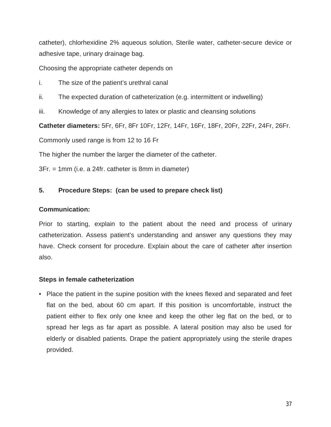catheter), chlorhexidine 2% aqueous solution, Sterile water, catheter-secure device or adhesive tape, urinary drainage bag.

Choosing the appropriate catheter depends on

- i. The size of the patient's urethral canal
- ii. The expected duration of catheterization (e.g. intermittent or indwelling)
- iii. Knowledge of any allergies to latex or plastic and cleansing solutions

**Catheter diameters:** 5Fr, 6Fr, 8Fr 10Fr, 12Fr, 14Fr, 16Fr, 18Fr, 20Fr, 22Fr, 24Fr, 26Fr.

Commonly used range is from 12 to 16 Fr

The higher the number the larger the diameter of the catheter.

3Fr. = 1mm (i.e. a 24fr. catheter is 8mm in diameter)

#### **5. Procedure Steps: (can be used to prepare check list)**

#### **Communication:**

Prior to starting, explain to the patient about the need and process of urinary catheterization. Assess patient's understanding and answer any questions they may have. Check consent for procedure. Explain about the care of catheter after insertion also.

#### **Steps in female catheterization**

• Place the patient in the supine position with the knees flexed and separated and feet flat on the bed, about 60 cm apart. If this position is uncomfortable, instruct the patient either to flex only one knee and keep the other leg flat on the bed, or to spread her legs as far apart as possible. A lateral position may also be used for elderly or disabled patients. Drape the patient appropriately using the sterile drapes provided.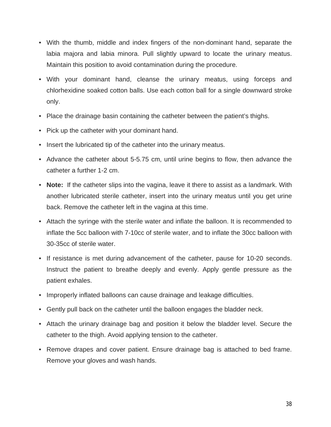- With the thumb, middle and index fingers of the non-dominant hand, separate the labia majora and labia minora. Pull slightly upward to locate the urinary meatus. Maintain this position to avoid contamination during the procedure.
- With your dominant hand, cleanse the urinary meatus, using forceps and chlorhexidine soaked cotton balls. Use each cotton ball for a single downward stroke only.
- Place the drainage basin containing the catheter between the patient's thighs.
- Pick up the catheter with your dominant hand.
- Insert the lubricated tip of the catheter into the urinary meatus.
- Advance the catheter about 5-5.75 cm, until urine begins to flow, then advance the catheter a further 1-2 cm.
- **Note:** If the catheter slips into the vagina, leave it there to assist as a landmark. With another lubricated sterile catheter, insert into the urinary meatus until you get urine back. Remove the catheter left in the vagina at this time.
- Attach the syringe with the sterile water and inflate the balloon. It is recommended to inflate the 5cc balloon with 7-10cc of sterile water, and to inflate the 30cc balloon with 30-35cc of sterile water.
- If resistance is met during advancement of the catheter, pause for 10-20 seconds. Instruct the patient to breathe deeply and evenly. Apply gentle pressure as the patient exhales.
- Improperly inflated balloons can cause drainage and leakage difficulties.
- Gently pull back on the catheter until the balloon engages the bladder neck.
- Attach the urinary drainage bag and position it below the bladder level. Secure the catheter to the thigh. Avoid applying tension to the catheter.
- Remove drapes and cover patient. Ensure drainage bag is attached to bed frame. Remove your gloves and wash hands.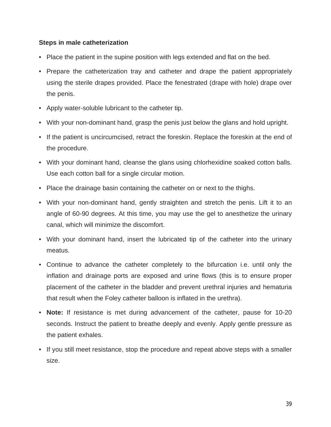#### **Steps in male catheterization**

- Place the patient in the supine position with legs extended and flat on the bed.
- Prepare the catheterization tray and catheter and drape the patient appropriately using the sterile drapes provided. Place the fenestrated (drape with hole) drape over the penis.
- Apply water-soluble lubricant to the catheter tip.
- With your non-dominant hand, grasp the penis just below the glans and hold upright.
- If the patient is uncircumcised, retract the foreskin. Replace the foreskin at the end of the procedure.
- With your dominant hand, cleanse the glans using chlorhexidine soaked cotton balls. Use each cotton ball for a single circular motion.
- Place the drainage basin containing the catheter on or next to the thighs.
- With your non-dominant hand, gently straighten and stretch the penis. Lift it to an angle of 60-90 degrees. At this time, you may use the gel to anesthetize the urinary canal, which will minimize the discomfort.
- With your dominant hand, insert the lubricated tip of the catheter into the urinary meatus.
- Continue to advance the catheter completely to the bifurcation i.e. until only the inflation and drainage ports are exposed and urine flows (this is to ensure proper placement of the catheter in the bladder and prevent urethral injuries and hematuria that result when the Foley catheter balloon is inflated in the urethra).
- **Note:** If resistance is met during advancement of the catheter, pause for 10-20 seconds. Instruct the patient to breathe deeply and evenly. Apply gentle pressure as the patient exhales.
- If you still meet resistance, stop the procedure and repeat above steps with a smaller size.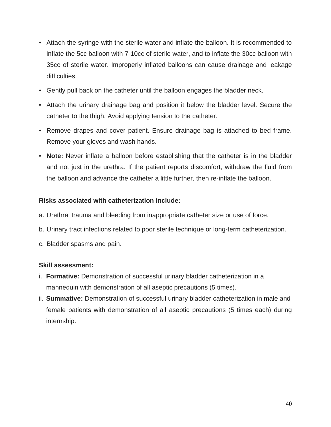- Attach the syringe with the sterile water and inflate the balloon. It is recommended to inflate the 5cc balloon with 7-10cc of sterile water, and to inflate the 30cc balloon with 35cc of sterile water. Improperly inflated balloons can cause drainage and leakage difficulties.
- Gently pull back on the catheter until the balloon engages the bladder neck.
- Attach the urinary drainage bag and position it below the bladder level. Secure the catheter to the thigh. Avoid applying tension to the catheter.
- Remove drapes and cover patient. Ensure drainage bag is attached to bed frame. Remove your gloves and wash hands.
- **Note:** Never inflate a balloon before establishing that the catheter is in the bladder and not just in the urethra. If the patient reports discomfort, withdraw the fluid from the balloon and advance the catheter a little further, then re-inflate the balloon.

#### **Risks associated with catheterization include:**

- a. Urethral trauma and bleeding from inappropriate catheter size or use of force.
- b. Urinary tract infections related to poor sterile technique or long-term catheterization.
- c. Bladder spasms and pain.

#### **Skill assessment:**

- i. **Formative:** Demonstration of successful urinary bladder catheterization in a mannequin with demonstration of all aseptic precautions (5 times).
- ii. **Summative:** Demonstration of successful urinary bladder catheterization in male and female patients with demonstration of all aseptic precautions (5 times each) during internship.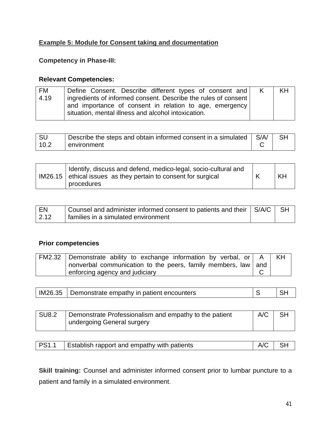#### **Example 5: Module for Consent taking and documentation**

#### **Competency in Phase-III:**

#### **Relevant Competencies:**

| <b>FM</b> | Define Consent. Describe different types of consent and        | $\mathsf{K}$ | <b>KH</b> |
|-----------|----------------------------------------------------------------|--------------|-----------|
| 4.19      | ingredients of informed consent. Describe the rules of consent |              |           |
|           | and importance of consent in relation to age, emergency        |              |           |
|           | situation, mental illness and alcohol intoxication.            |              |           |

| .SL  | Describe the steps and obtain informed consent in a simulated | $\overline{\mathsf{S}}$ S/A |  |
|------|---------------------------------------------------------------|-----------------------------|--|
| 10.2 | environment                                                   |                             |  |

|  | Identify, discuss and defend, medico-legal, socio-cultural and<br>$IM26.15$ ethical issues as they pertain to consent for surgical<br>procedures | K | KH |
|--|--------------------------------------------------------------------------------------------------------------------------------------------------|---|----|
|--|--------------------------------------------------------------------------------------------------------------------------------------------------|---|----|

| ' FN | Counsel and administer informed consent to patients and their S/A/C   SH |  |
|------|--------------------------------------------------------------------------|--|
| 2.12 | families in a simulated environment                                      |  |

#### **Prior competencies**

| FM2.32   Demonstrate ability to exchange information by verbal, or   A |  |
|------------------------------------------------------------------------|--|
| nonverbal communication to the peers, family members, law and          |  |
| enforcing agency and judiciary                                         |  |

|  | IM26.35   Demonstrate empathy in patient encounters |  | <b>SH</b> |
|--|-----------------------------------------------------|--|-----------|
|--|-----------------------------------------------------|--|-----------|

| SU8.2 | Demonstrate Professionalism and empathy to the patient | A/C |  |
|-------|--------------------------------------------------------|-----|--|
|       | undergoing General surgery                             |     |  |

|  | <b>PS1.1</b>   Establish rapport and empathy with patients | $A/C$ SH |  |
|--|------------------------------------------------------------|----------|--|
|--|------------------------------------------------------------|----------|--|

**Skill training:** Counsel and administer informed consent prior to lumbar puncture to a patient and family in a simulated environment.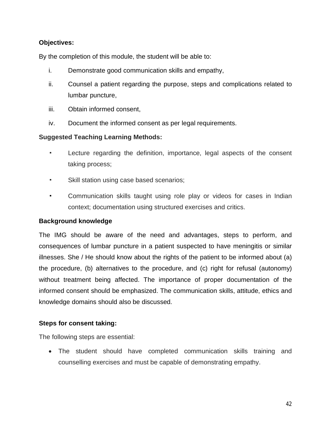#### **Objectives:**

By the completion of this module, the student will be able to:

- i. Demonstrate good communication skills and empathy,
- ii. Counsel a patient regarding the purpose, steps and complications related to lumbar puncture,
- iii. Obtain informed consent,
- iv. Document the informed consent as per legal requirements.

#### **Suggested Teaching Learning Methods:**

- Lecture regarding the definition, importance, legal aspects of the consent taking process;
- Skill station using case based scenarios;
- Communication skills taught using role play or videos for cases in Indian context; documentation using structured exercises and critics.

#### **Background knowledge**

The IMG should be aware of the need and advantages, steps to perform, and consequences of lumbar puncture in a patient suspected to have meningitis or similar illnesses. She / He should know about the rights of the patient to be informed about (a) the procedure, (b) alternatives to the procedure, and (c) right for refusal (autonomy) without treatment being affected. The importance of proper documentation of the informed consent should be emphasized. The communication skills, attitude, ethics and knowledge domains should also be discussed.

#### **Steps for consent taking:**

The following steps are essential:

 The student should have completed communication skills training and counselling exercises and must be capable of demonstrating empathy.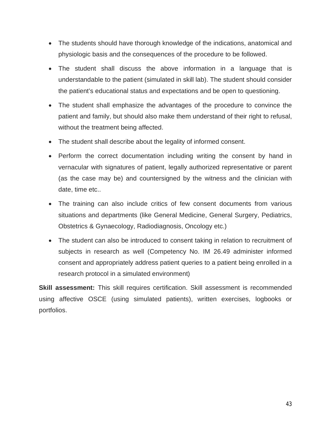- The students should have thorough knowledge of the indications, anatomical and physiologic basis and the consequences of the procedure to be followed.
- The student shall discuss the above information in a language that is understandable to the patient (simulated in skill lab). The student should consider the patient's educational status and expectations and be open to questioning.
- The student shall emphasize the advantages of the procedure to convince the patient and family, but should also make them understand of their right to refusal, without the treatment being affected.
- The student shall describe about the legality of informed consent.
- Perform the correct documentation including writing the consent by hand in vernacular with signatures of patient, legally authorized representative or parent (as the case may be) and countersigned by the witness and the clinician with date, time etc..
- The training can also include critics of few consent documents from various situations and departments (like General Medicine, General Surgery, Pediatrics, Obstetrics & Gynaecology, Radiodiagnosis, Oncology etc.)
- The student can also be introduced to consent taking in relation to recruitment of subjects in research as well (Competency No. IM 26.49 administer informed consent and appropriately address patient queries to a patient being enrolled in a research protocol in a simulated environment)

**Skill assessment:** This skill requires certification. Skill assessment is recommended using affective OSCE (using simulated patients), written exercises, logbooks or portfolios.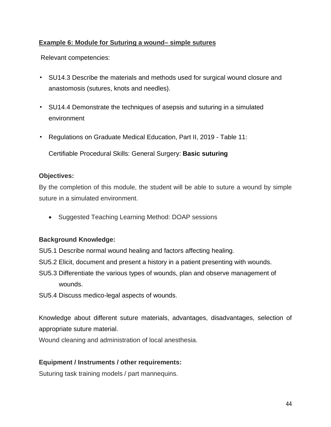#### **Example 6: Module for Suturing a wound– simple sutures**

Relevant competencies:

- SU14.3 Describe the materials and methods used for surgical wound closure and anastomosis (sutures, knots and needles).
- SU14.4 Demonstrate the techniques of asepsis and suturing in a simulated environment
- Regulations on Graduate Medical Education, Part II, 2019 Table 11:

Certifiable Procedural Skills: General Surgery: **Basic suturing**

#### **Objectives:**

By the completion of this module, the student will be able to suture a wound by simple suture in a simulated environment.

• Suggested Teaching Learning Method: DOAP sessions

#### **Background Knowledge:**

- SU5.1 Describe normal wound healing and factors affecting healing.
- SU5.2 Elicit, document and present a history in a patient presenting with wounds.
- SU5.3 Differentiate the various types of wounds, plan and observe management of wounds.
- SU5.4 Discuss medico-legal aspects of wounds.

Knowledge about different suture materials, advantages, disadvantages, selection of appropriate suture material.

Wound cleaning and administration of local anesthesia.

#### **Equipment / Instruments / other requirements:**

Suturing task training models / part mannequins.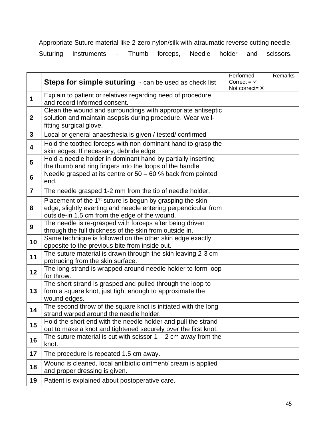Appropriate Suture material like 2-zero nylon/silk with atraumatic reverse cutting needle.

Suturing Instruments – Thumb forceps, Needle holder and scissors.

|                         | <b>Steps for simple suturing</b> - can be used as check list                                                                                                                             | Performed<br>Correct = $\checkmark$<br>Not correct= X | Remarks |
|-------------------------|------------------------------------------------------------------------------------------------------------------------------------------------------------------------------------------|-------------------------------------------------------|---------|
| 1                       | Explain to patient or relatives regarding need of procedure<br>and record informed consent.                                                                                              |                                                       |         |
| $\mathbf{2}$            | Clean the wound and surroundings with appropriate antiseptic<br>solution and maintain asepsis during procedure. Wear well-<br>fitting surgical glove.                                    |                                                       |         |
| $\mathbf{3}$            | Local or general anaesthesia is given / tested/ confirmed                                                                                                                                |                                                       |         |
| $\overline{\mathbf{4}}$ | Hold the toothed forceps with non-dominant hand to grasp the<br>skin edges. If necessary, debride edge                                                                                   |                                                       |         |
| 5                       | Hold a needle holder in dominant hand by partially inserting<br>the thumb and ring fingers into the loops of the handle                                                                  |                                                       |         |
| 6                       | Needle grasped at its centre or $50 - 60$ % back from pointed<br>end.                                                                                                                    |                                                       |         |
| $\overline{7}$          | The needle grasped 1-2 mm from the tip of needle holder.                                                                                                                                 |                                                       |         |
| 8                       | Placement of the 1 <sup>st</sup> suture is begun by grasping the skin<br>edge, slightly everting and needle entering perpendicular from<br>outside-in 1.5 cm from the edge of the wound. |                                                       |         |
| 9                       | The needle is re-grasped with forceps after being driven<br>through the full thickness of the skin from outside in.                                                                      |                                                       |         |
| 10                      | Same technique is followed on the other skin edge exactly<br>opposite to the previous bite from inside out.                                                                              |                                                       |         |
| 11                      | The suture material is drawn through the skin leaving 2-3 cm<br>protruding from the skin surface.                                                                                        |                                                       |         |
| 12                      | The long strand is wrapped around needle holder to form loop<br>for throw.                                                                                                               |                                                       |         |
| 13                      | The short strand is grasped and pulled through the loop to<br>form a square knot, just tight enough to approximate the<br>wound edges.                                                   |                                                       |         |
| 14                      | The second throw of the square knot is initiated with the long<br>strand warped around the needle holder.                                                                                |                                                       |         |
| 15                      | Hold the short end with the needle holder and pull the strand<br>out to make a knot and tightened securely over the first knot.                                                          |                                                       |         |
| 16                      | The suture material is cut with scissor $1 - 2$ cm away from the<br>knot.                                                                                                                |                                                       |         |
| 17                      | The procedure is repeated 1.5 cm away.                                                                                                                                                   |                                                       |         |
| 18                      | Wound is cleaned, local antibiotic ointment/ cream is applied<br>and proper dressing is given.                                                                                           |                                                       |         |
| 19                      | Patient is explained about postoperative care.                                                                                                                                           |                                                       |         |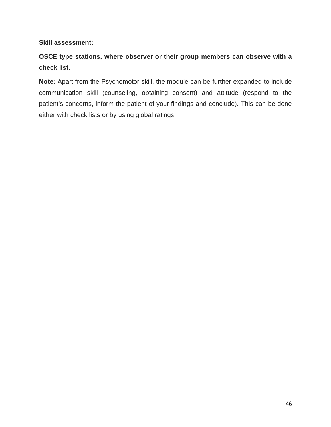#### **Skill assessment:**

### **OSCE type stations, where observer or their group members can observe with a check list.**

**Note:** Apart from the Psychomotor skill, the module can be further expanded to include communication skill (counseling, obtaining consent) and attitude (respond to the patient's concerns, inform the patient of your findings and conclude). This can be done either with check lists or by using global ratings.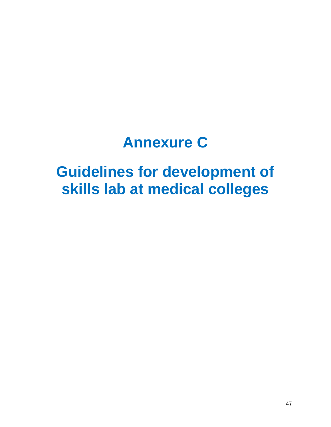# **Annexure C**

# **Guidelines for development of skills lab at medical colleges**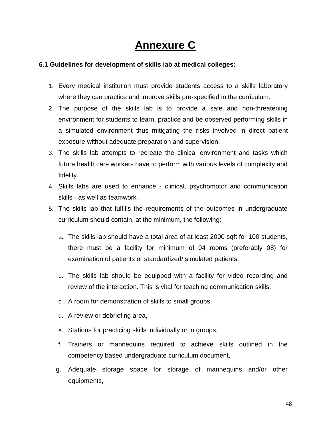# **Annexure C**

#### **6.1 Guidelines for development of skills lab at medical colleges:**

- 1. Every medical institution must provide students access to a skills laboratory where they can practice and improve skills pre-specified in the curriculum.
- 2. The purpose of the skills lab is to provide a safe and non-threatening environment for students to learn, practice and be observed performing skills in a simulated environment thus mitigating the risks involved in direct patient exposure without adequate preparation and supervision.
- 3. The skills lab attempts to recreate the clinical environment and tasks which future health care workers have to perform with various levels of complexity and fidelity.
- 4. Skills labs are used to enhance clinical, psychomotor and communication skills - as well as teamwork.
- 5. The skills lab that fulfills the requirements of the outcomes in undergraduate curriculum should contain, at the minimum, the following:
	- a. The skills lab should have a total area of at least 2000 sqft for 100 students, there must be a facility for minimum of 04 rooms (preferably 08) for examination of patients or standardized/ simulated patients.
	- b. The skills lab should be equipped with a facility for video recording and review of the interaction. This is vital for teaching communication skills.
	- c. A room for demonstration of skills to small groups,
	- d. A review or debriefing area,
	- e. Stations for practicing skills individually or in groups,
	- f. Trainers or mannequins required to achieve skills outlined in the competency based undergraduate curriculum document,
	- g. Adequate storage space for storage of mannequins and/or other equipments,